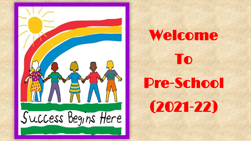

## Welcome

To

Pre-School

(2021-22)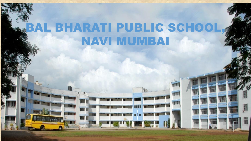## BAL BHARATI PUBLIC SCHOOL, NAVI MUMBAI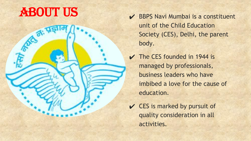## ABOUT US

- BBPS Navi Mumbai is a constituent unit of the Child Education Society (CES), Delhi, the parent body.
- $\vee$  The CES founded in 1944 is managed by professionals, business leaders who have imbibed a love for the cause of education.
- $\vee$  CES is marked by pursuit of quality consideration in all activities.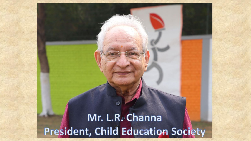### Mr. L.R. Channa President, Child Education Society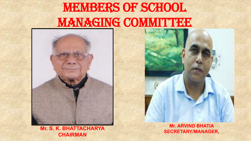## MEMBERS OF SCHOOL MANAGING COMMITTEE



**Mr. S. K. BHATTACHARYA CHAIRMAN**

**Mr. ARVIND BHATIA SECRETARY/MANAGER,**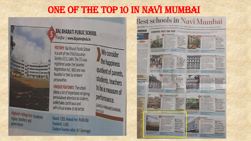### ONE OF THE TOP 10 IN NAVI MUMBAI

**AY: LABS TO<br>CREATIVITY** 

4/ IN 2015

**Emmerissioned**<br>ation C fore to<br>sy to rack top<br>at the assesses<br>presponding<br>set by H7 and



We consider the happiness quotient of parents, students, teachers to be a measure of performance. GANESH PARAMESWARAN,

#### **Best schools in Navi Mumbai**

a list of the top 10 schools from Navi Mumbai that were ranked highest on our survey based on diverse parameters

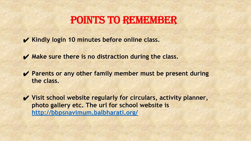### POINTS TO REMEMBER

- ✔ **Kindly login 10 minutes before online class.**
- ✔ **Make sure there is no distraction during the class.**
- ✔ **Parents or any other family member must be present during the class.**
- ✔ **Visit school website regularly for circulars, activity planner, photo gallery etc. The url for school website is <http://bbpsnavimum.balbharati.org/>**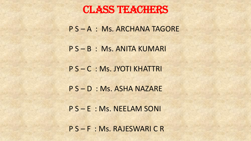### CLASS TEACHERS

P S – A : Ms. ARCHANA TAGORE

P S – B : Ms. ANITA KUMARI

P S – C : Ms. JYOTI KHATTRI

P S – D : Ms. ASHA NAZARE

P S – E : Ms. NEELAM SONI

P S – F : Ms. RAJESWARI C R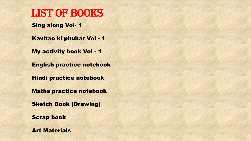### LIST OF BOOKS

Sing along Vol- 1

Kavitao ki phuhar Vol - 1

My activity book Vol - 1

English practice notebook

Hindi practice notebook

Maths practice notebook

Sketch Book (Drawing)

Scrap book

Art Materials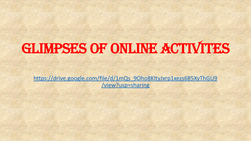# Glimpses of online activites

[https://drive.google.com/file/d/1mQs\\_9Oho8KItyJxrp1xezs685XyThGU9](https://drive.google.com/file/d/1mQs_9Oho8KItyJxrp1xezs685XyThGU9/view?usp=sharing) [/view?usp=sharing](https://drive.google.com/file/d/1mQs_9Oho8KItyJxrp1xezs685XyThGU9/view?usp=sharing)